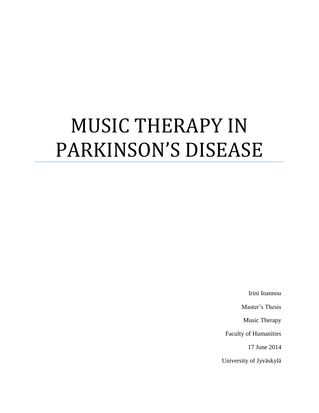# MUSIC THERAPY IN PARKINSON'S DISEASE

Irini Ioannou

Master's Thesis

Music Therapy

Faculty of Humanities

17 June 2014

University of Jyväskylä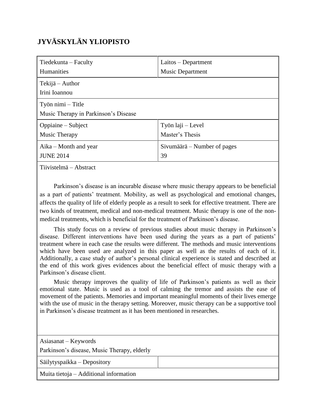# **JYVÄSKYLÄN YLIOPISTO**

| Tiedekunta – Faculty                                      | Laitos – Department                  |  |
|-----------------------------------------------------------|--------------------------------------|--|
| <b>Humanities</b>                                         | <b>Music Department</b>              |  |
| Tekijä – Author<br>Irini Ioannou                          |                                      |  |
| Työn nimi – Title<br>Music Therapy in Parkinson's Disease |                                      |  |
| Oppiaine – Subject<br>Music Therapy                       | Työn laji – Level<br>Master's Thesis |  |
| $A$ ika – Month and year<br><b>JUNE 2014</b>              | Sivumäärä – Number of pages<br>39    |  |

Tiivistelmä – Abstract

Parkinson's disease is an incurable disease where music therapy appears to be beneficial as a part of patients" treatment. Mobility, as well as psychological and emotional changes, affects the quality of life of elderly people as a result to seek for effective treatment. There are two kinds of treatment, medical and non-medical treatment. Music therapy is one of the nonmedical treatments, which is beneficial for the treatment of Parkinson"s disease.

This study focus on a review of previous studies about music therapy in Parkinson"s disease. Different interventions have been used during the years as a part of patients' treatment where in each case the results were different. The methods and music interventions which have been used are analyzed in this paper as well as the results of each of it. Additionally, a case study of author"s personal clinical experience is stated and described at the end of this work gives evidences about the beneficial effect of music therapy with a Parkinson"s disease client.

Music therapy improves the quality of life of Parkinson"s patients as well as their emotional state. Music is used as a tool of calming the tremor and assists the ease of movement of the patients. Memories and important meaningful moments of their lives emerge with the use of music in the therapy setting. Moreover, music therapy can be a supportive tool in Parkinson"s disease treatment as it has been mentioned in researches.

| Asiasanat – Keywords                        |  |
|---------------------------------------------|--|
| Parkinson's disease, Music Therapy, elderly |  |
| Säilytyspaikka – Depository                 |  |
| Muita tietoja – Additional information      |  |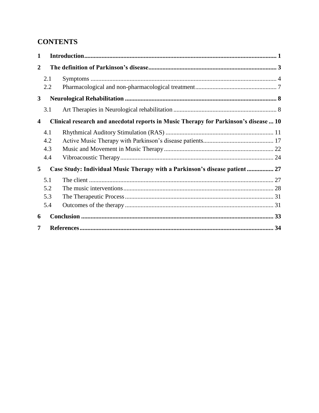# **CONTENTS**

| 1              |     |                                                                                      |  |  |
|----------------|-----|--------------------------------------------------------------------------------------|--|--|
| $\overline{2}$ |     |                                                                                      |  |  |
|                | 2.1 |                                                                                      |  |  |
|                | 2.2 |                                                                                      |  |  |
| 3              |     |                                                                                      |  |  |
|                | 3.1 |                                                                                      |  |  |
| 4              |     | Clinical research and anecdotal reports in Music Therapy for Parkinson's disease  10 |  |  |
|                | 4.1 |                                                                                      |  |  |
|                | 4.2 |                                                                                      |  |  |
|                | 4.3 |                                                                                      |  |  |
|                | 4.4 |                                                                                      |  |  |
| 5              |     | Case Study: Individual Music Therapy with a Parkinson's disease patient  27          |  |  |
|                | 5.1 |                                                                                      |  |  |
|                | 5.2 |                                                                                      |  |  |
|                | 5.3 |                                                                                      |  |  |
|                | 5.4 |                                                                                      |  |  |
| 6              |     |                                                                                      |  |  |
| 7              |     |                                                                                      |  |  |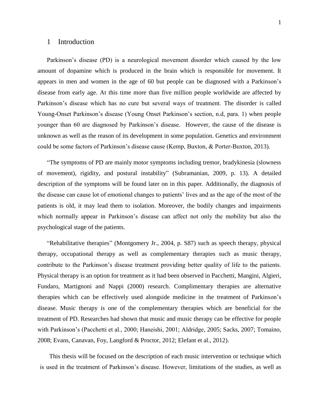# 1 Introduction

Parkinson's disease (PD) is a neurological movement disorder which caused by the low amount of dopamine which is produced in the brain which is responsible for movement. It appears in men and women in the age of 60 but people can be diagnosed with a Parkinson"s disease from early age. At this time more than five million people worldwide are affected by Parkinson's disease which has no cure but several ways of treatment. The disorder is called Young-Onset Parkinson"s disease (Young Onset Parkinson"s section, n.d, para. 1) when people younger than 60 are diagnosed by Parkinson"s disease. However, the cause of the disease is unknown as well as the reason of its development in some population. Genetics and environment could be some factors of Parkinson"s disease cause (Kemp, Buxton, & Porter-Buxton, 2013).

"The symptoms of PD are mainly motor symptoms including tremor, bradykinesia (slowness of movement), rigidity, and postural instability" (Subramanian, 2009, p. 13). A detailed description of the symptoms will be found later on in this paper. Additionally, the diagnosis of the disease can cause lot of emotional changes to patients" lives and as the age of the most of the patients is old, it may lead them to isolation. Moreover, the bodily changes and impairments which normally appear in Parkinson's disease can affect not only the mobility but also the psychological stage of the patients.

"Rehabilitative therapies" (Montgomery Jr., 2004, p. S87) such as speech therapy, physical therapy, occupational therapy as well as complementary therapies such as music therapy, contribute to the Parkinson"s disease treatment providing better quality of life to the patients. Physical therapy is an option for treatment as it had been observed in Pacchetti, Mangini, Algieri, Fundaro, Martignoni and Nappi (2000) research. Complimentary therapies are alternative therapies which can be effectively used alongside medicine in the treatment of Parkinson"s disease. Music therapy is one of the complementary therapies which are beneficial for the treatment of PD. Researches had shown that music and music therapy can be effective for people with Parkinson's (Pacchetti et al., 2000; Haneishi, 2001; Aldridge, 2005; Sacks, 2007; Tomaino, 2008; Evans, Canavan, Foy, Langford & Proctor, 2012; Elefant et al., 2012).

This thesis will be focused on the description of each music intervention or technique which is used in the treatment of Parkinson"s disease. However, limitations of the studies, as well as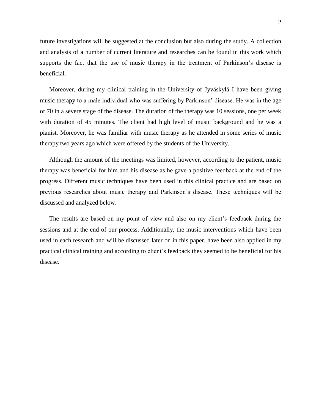future investigations will be suggested at the conclusion but also during the study. A collection and analysis of a number of current literature and researches can be found in this work which supports the fact that the use of music therapy in the treatment of Parkinson's disease is beneficial.

Moreover, during my clinical training in the University of Jyväskylä I have been giving music therapy to a male individual who was suffering by Parkinson" disease. He was in the age of 70 in a severe stage of the disease. The duration of the therapy was 10 sessions, one per week with duration of 45 minutes. The client had high level of music background and he was a pianist. Moreover, he was familiar with music therapy as he attended in some series of music therapy two years ago which were offered by the students of the University.

Although the amount of the meetings was limited, however, according to the patient, music therapy was beneficial for him and his disease as he gave a positive feedback at the end of the progress. Different music techniques have been used in this clinical practice and are based on previous researches about music therapy and Parkinson"s disease. These techniques will be discussed and analyzed below.

The results are based on my point of view and also on my client"s feedback during the sessions and at the end of our process. Additionally, the music interventions which have been used in each research and will be discussed later on in this paper, have been also applied in my practical clinical training and according to client"s feedback they seemed to be beneficial for his disease.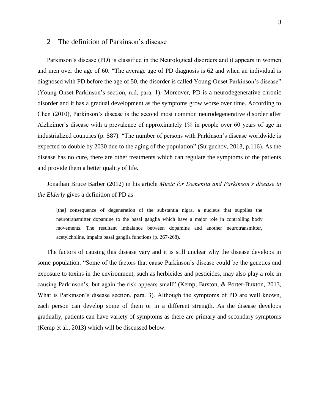# 2 The definition of Parkinson"s disease

Parkinson's disease (PD) is classified in the Neurological disorders and it appears in women and men over the age of 60. "The average age of PD diagnosis is 62 and when an individual is diagnosed with PD before the age of 50, the disorder is called Young-Onset Parkinson's disease" (Young Onset Parkinson"s section, n.d, para. 1). Moreover, PD is a neurodegenerative chronic disorder and it has a gradual development as the symptoms grow worse over time. According to Chen (2010), Parkinson"s disease is the second most common neurodegenerative disorder after Alzheimer's disease with a prevalence of approximately 1% in people over 60 years of age in industrialized countries (p. S87). "The number of persons with Parkinson"s disease worldwide is expected to double by 2030 due to the aging of the population" (Surguchov, 2013, p.116). As the disease has no cure, there are other treatments which can regulate the symptoms of the patients and provide them a better quality of life.

Jonathan Bruce Barber (2012) in his article *Music for Dementia and Parkinson's disease in the Elderly* gives a definition of PD as

[the] consequence of degeneration of the substantia nigra, a nucleus that supplies the neurotransmitter dopamine to the basal ganglia which have a major role in controlling body movements. The resultant imbalance between dopamine and another neurotransmitter, acetylcholine, impairs basal ganglia functions (p. 267-268).

The factors of causing this disease vary and it is still unclear why the disease develops in some population. "Some of the factors that cause Parkinson"s disease could be the genetics and exposure to toxins in the environment, such as herbicides and pesticides, may also play a role in causing Parkinson"s, but again the risk appears small" (Kemp, Buxton, & Porter-Buxton, 2013, What is Parkinson's disease section, para. 3). Although the symptoms of PD are well known, each person can develop some of them or in a different strength. As the disease develops gradually, patients can have variety of symptoms as there are primary and secondary symptoms (Kemp et al., 2013) which will be discussed below.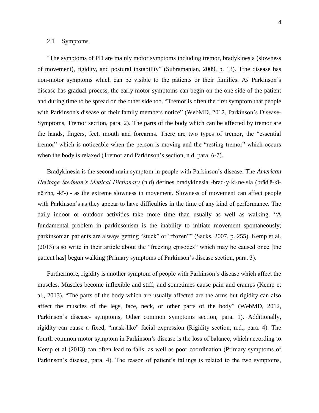## 2.1 Symptoms

"The symptoms of PD are mainly motor symptoms including tremor, bradykinesia (slowness of movement), rigidity, and postural instability" (Subramanian, 2009, p. 13). Tthe disease has non-motor symptoms which can be visible to the patients or their families. As Parkinson"s disease has gradual process, the early motor symptoms can begin on the one side of the patient and during time to be spread on the other side too. "Tremor is often the first symptom that people with Parkinson's disease or their family members notice" (WebMD, 2012, Parkinson's Disease-Symptoms, Tremor section, para. 2). The parts of the body which can be affected by tremor are the hands, fingers, feet, mouth and forearms. There are two types of tremor, the "essential tremor" which is noticeable when the person is moving and the "resting tremor" which occurs when the body is relaxed (Tremor and Parkinson's section, n.d. para. 6-7).

Bradykinesia is the second main symptom in people with Parkinson"s disease. The *American Heritage Stedman's Medical Dictionary* (n.d) defines bradykinesia -brad·y·ki·ne·sia (brād'ē-kĭnē'zhə, -kī-) - as the extreme slowness in movement. Slowness of movement can affect people with Parkinson's as they appear to have difficulties in the time of any kind of performance. The daily indoor or outdoor activities take more time than usually as well as walking. "A fundamental problem in parkinsonism is the inability to initiate movement spontaneously; parkinsonian patients are always getting "stuck" or "frozen"" (Sacks, 2007, p. 255). Kemp et al. (2013) also write in their article about the "freezing episodes" which may be caused once [the patient has] begun walking (Primary symptoms of Parkinson's disease section, para. 3).

Furthermore, rigidity is another symptom of people with Parkinson's disease which affect the muscles. Muscles become inflexible and stiff, and sometimes cause pain and cramps (Kemp et al., 2013). "The parts of the body which are usually affected are the arms but rigidity can also affect the muscles of the legs, face, neck, or other parts of the body" (WebMD, 2012, Parkinson"s disease- symptoms, Other common symptoms section, para. 1). Additionally, rigidity can cause a fixed, "mask-like" facial expression (Rigidity section, n.d., para. 4). The fourth common motor symptom in Parkinson"s disease is the loss of balance, which according to Kemp et al (2013) can often lead to falls, as well as poor coordination (Primary symptoms of Parkinson's disease, para. 4). The reason of patient's fallings is related to the two symptoms,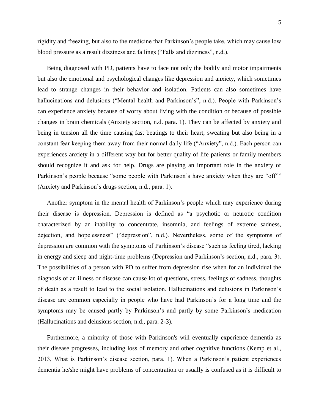5

rigidity and freezing, but also to the medicine that Parkinson"s people take, which may cause low blood pressure as a result dizziness and fallings ("Falls and dizziness", n.d.).

Being diagnosed with PD, patients have to face not only the bodily and motor impairments but also the emotional and psychological changes like depression and anxiety, which sometimes lead to strange changes in their behavior and isolation. Patients can also sometimes have hallucinations and delusions ("Mental health and Parkinson's", n.d.). People with Parkinson's can experience anxiety because of worry about living with the condition or because of possible changes in brain chemicals (Anxiety section, n.d. para. 1). They can be affected by anxiety and being in tension all the time causing fast beatings to their heart, sweating but also being in a constant fear keeping them away from their normal daily life ("Anxiety", n.d.). Each person can experiences anxiety in a different way but for better quality of life patients or family members should recognize it and ask for help. Drugs are playing an important role in the anxiety of Parkinson's people because "some people with Parkinson's have anxiety when they are "off"" (Anxiety and Parkinson"s drugs section, n.d., para. 1).

Another symptom in the mental health of Parkinson"s people which may experience during their disease is depression. Depression is defined as "a psychotic or neurotic condition characterized by an inability to concentrate, insomnia, and feelings of extreme sadness, dejection, and hopelessness" ("depression", n.d.). Nevertheless, some of the symptoms of depression are common with the symptoms of Parkinson"s disease "such as feeling tired, lacking in energy and sleep and night-time problems (Depression and Parkinson"s section, n.d., para. 3). The possibilities of a person with PD to suffer from depression rise when for an individual the diagnosis of an illness or disease can cause lot of questions, stress, feelings of sadness, thoughts of death as a result to lead to the social isolation. Hallucinations and delusions in Parkinson"s disease are common especially in people who have had Parkinson"s for a long time and the symptoms may be caused partly by Parkinson's and partly by some Parkinson's medication (Hallucinations and delusions section, n.d., para. 2-3).

Furthermore, a minority of those with Parkinson's will eventually experience dementia as their disease progresses, including loss of memory and other cognitive functions (Kemp et al., 2013, What is Parkinson"s disease section, para. 1). When a Parkinson"s patient experiences dementia he/she might have problems of concentration or usually is confused as it is difficult to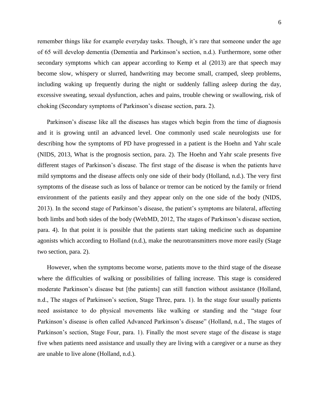remember things like for example everyday tasks. Though, it's rare that someone under the age of 65 will develop dementia (Dementia and Parkinson"s section, n.d.). Furthermore, some other secondary symptoms which can appear according to Kemp et al (2013) are that speech may become slow, whispery or slurred, handwriting may become small, cramped, sleep problems, including waking up frequently during the night or suddenly falling asleep during the day, excessive sweating, sexual dysfunction, aches and pains, trouble chewing or swallowing, risk of choking (Secondary symptoms of Parkinson"s disease section, para. 2).

Parkinson"s disease like all the diseases has stages which begin from the time of diagnosis and it is growing until an advanced level. One commonly used scale neurologists use for describing how the symptoms of PD have progressed in a patient is the Hoehn and Yahr scale (NIDS, 2013, What is the prognosis section, para. 2). The Hoehn and Yahr scale presents five different stages of Parkinson"s disease. The first stage of the disease is when the patients have mild symptoms and the disease affects only one side of their body (Holland, n.d.). The very first symptoms of the disease such as loss of balance or tremor can be noticed by the family or friend environment of the patients easily and they appear only on the one side of the body (NIDS, 2013). In the second stage of Parkinson"s disease, the patient"s symptoms are bilateral, affecting both limbs and both sides of the body (WebMD, 2012, The stages of Parkinson"s disease section, para. 4). In that point it is possible that the patients start taking medicine such as dopamine agonists which according to Holland (n.d.), make the neurotransmitters move more easily (Stage two section, para. 2).

However, when the symptoms become worse, patients move to the third stage of the disease where the difficulties of walking or possibilities of falling increase. This stage is considered moderate Parkinson"s disease but [the patients] can still function without assistance (Holland, n.d., The stages of Parkinson's section, Stage Three, para. 1). In the stage four usually patients need assistance to do physical movements like walking or standing and the "stage four Parkinson's disease is often called Advanced Parkinson's disease" (Holland, n.d., The stages of Parkinson's section, Stage Four, para. 1). Finally the most severe stage of the disease is stage five when patients need assistance and usually they are living with a caregiver or a nurse as they are unable to live alone (Holland, n.d.).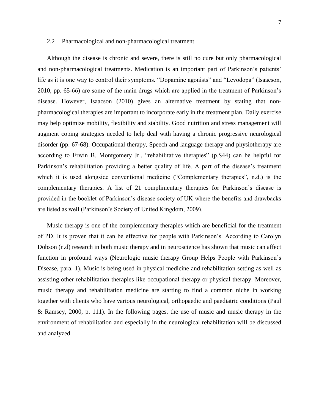# 2.2 Pharmacological and non-pharmacological treatment

Although the disease is chronic and severe, there is still no cure but only pharmacological and non-pharmacological treatments. Medication is an important part of Parkinson"s patients" life as it is one way to control their symptoms. "Dopamine agonists" and "Levodopa" (Isaacson, 2010, pp. 65-66) are some of the main drugs which are applied in the treatment of Parkinson"s disease. However, Isaacson (2010) gives an alternative treatment by stating that nonpharmacological therapies are important to incorporate early in the treatment plan. Daily exercise may help optimize mobility, flexibility and stability. Good nutrition and stress management will augment coping strategies needed to help deal with having a chronic progressive neurological disorder (pp. 67-68). Occupational therapy, Speech and language therapy and physiotherapy are according to Erwin B. Montgomery Jr., "rehabilitative therapies" (p.S44) can be helpful for Parkinson's rehabilitation providing a better quality of life. A part of the disease's treatment which it is used alongside conventional medicine ("Complementary therapies", n.d.) is the complementary therapies. A list of 21 complimentary therapies for Parkinson"s disease is provided in the booklet of Parkinson"s disease society of UK where the benefits and drawbacks are listed as well (Parkinson"s Society of United Kingdom, 2009).

Music therapy is one of the complementary therapies which are beneficial for the treatment of PD. It is proven that it can be effective for people with Parkinson"s. According to Carolyn Dobson (n.d) research in both music therapy and in neuroscience has shown that music can affect function in profound ways (Neurologic music therapy Group Helps People with Parkinson"s Disease, para. 1). Music is being used in physical medicine and rehabilitation setting as well as assisting other rehabilitation therapies like occupational therapy or physical therapy. Moreover, music therapy and rehabilitation medicine are starting to find a common niche in working together with clients who have various neurological, orthopaedic and paediatric conditions (Paul & Ramsey, 2000, p. 111). In the following pages, the use of music and music therapy in the environment of rehabilitation and especially in the neurological rehabilitation will be discussed and analyzed.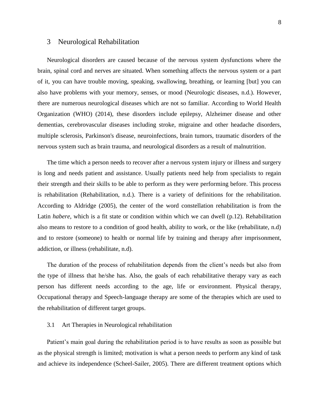# 3 Neurological Rehabilitation

Neurological disorders are caused because of the nervous system dysfunctions where the brain, spinal cord and nerves are situated. When something affects the nervous system or a part of it, you can have trouble moving, speaking, swallowing, breathing, or learning [but] you can also have problems with your memory, senses, or mood (Neurologic diseases, n.d.). However, there are numerous neurological diseases which are not so familiar. According to World Health Organization (WHO) (2014), these disorders include epilepsy, Alzheimer disease and other dementias, cerebrovascular diseases including stroke, migraine and other headache disorders, multiple sclerosis, Parkinson's disease, neuroinfections, brain tumors, traumatic disorders of the nervous system such as brain trauma, and neurological disorders as a result of malnutrition.

The time which a person needs to recover after a nervous system injury or illness and surgery is long and needs patient and assistance. Usually patients need help from specialists to regain their strength and their skills to be able to perform as they were performing before. This process is rehabilitation (Rehabilitation, n.d.). There is a variety of definitions for the rehabilitation. According to Aldridge (2005), the center of the word constellation rehabilitation is from the Latin *habere*, which is a fit state or condition within which we can dwell (p.12). Rehabilitation also means to restore to a condition of good health, ability to work, or the like (rehabilitate, n.d) and to restore (someone) to health or normal life by training and therapy after imprisonment, addiction, or illness (rehabilitate, n.d).

The duration of the process of rehabilitation depends from the client"s needs but also from the type of illness that he/she has. Also, the goals of each rehabilitative therapy vary as each person has different needs according to the age, life or environment. Physical therapy, Occupational therapy and Speech-language therapy are some of the therapies which are used to the rehabilitation of different target groups.

# 3.1 Art Therapies in Neurological rehabilitation

Patient's main goal during the rehabilitation period is to have results as soon as possible but as the physical strength is limited; motivation is what a person needs to perform any kind of task and achieve its independence (Scheel-Sailer, 2005). There are different treatment options which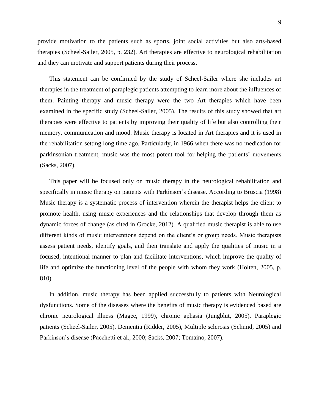provide motivation to the patients such as sports, joint social activities but also arts-based therapies (Scheel-Sailer, 2005, p. 232). Art therapies are effective to neurological rehabilitation and they can motivate and support patients during their process.

This statement can be confirmed by the study of Scheel-Sailer where she includes art therapies in the treatment of paraplegic patients attempting to learn more about the influences of them. Painting therapy and music therapy were the two Art therapies which have been examined in the specific study (Scheel-Sailer, 2005). The results of this study showed that art therapies were effective to patients by improving their quality of life but also controlling their memory, communication and mood. Music therapy is located in Art therapies and it is used in the rehabilitation setting long time ago. Particularly, in 1966 when there was no medication for parkinsonian treatment, music was the most potent tool for helping the patients' movements (Sacks, 2007).

This paper will be focused only on music therapy in the neurological rehabilitation and specifically in music therapy on patients with Parkinson's disease. According to Bruscia (1998) Music therapy is a systematic process of intervention wherein the therapist helps the client to promote health, using music experiences and the relationships that develop through them as dynamic forces of change (as cited in Grocke, 2012). A qualified music therapist is able to use different kinds of music interventions depend on the client's or group needs. Music therapists assess patient needs, identify goals, and then translate and apply the qualities of music in a focused, intentional manner to plan and facilitate interventions, which improve the quality of life and optimize the functioning level of the people with whom they work (Holten, 2005, p. 810).

In addition, music therapy has been applied successfully to patients with Neurological dysfunctions. Some of the diseases where the benefits of music therapy is evidenced based are chronic neurological illness (Magee, 1999), chronic aphasia (Jungblut, 2005), Paraplegic patients (Scheel-Sailer, 2005), Dementia (Ridder, 2005), Multiple sclerosis (Schmid, 2005) and Parkinson"s disease (Pacchetti et al., 2000; Sacks, 2007; Tomaino, 2007).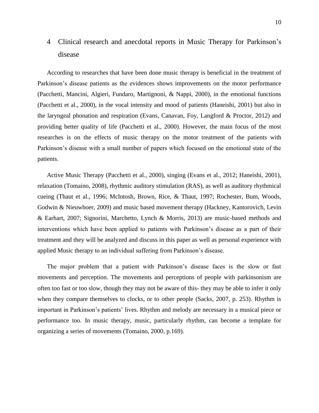# 4 Clinical research and anecdotal reports in Music Therapy for Parkinson"s disease

According to researches that have been done music therapy is beneficial in the treatment of Parkinson's disease patients as the evidences shows improvements on the motor performance (Pacchetti, Mancini, Algieri, Fundaro, Martignoni, & Nappi, 2000), in the emotional functions (Pacchetti et al., 2000), in the vocal intensity and mood of patients (Haneishi, 2001) but also in the laryngeal phonation and respiration (Evans, Canavan, Foy, Langford & Proctor, 2012) and providing better quality of life (Pacchetti et al., 2000). However, the main focus of the most researches is on the effects of music therapy on the motor treatment of the patients with Parkinson's disease with a small number of papers which focused on the emotional state of the patients.

Active Music Therapy (Pacchetti et al., 2000), singing (Evans et al., 2012; Haneishi, 2001), relaxation (Tomaino, 2008), rhythmic auditory stimulation (RAS), as well as auditory rhythmical cueing (Thaut et al., 1996; McIntosh, Brown, Rice, & Thaut, 1997; Rochester, Bum, Woods, Godwin & Nieuwboer, 2009) and music based movement therapy (Hackney, Kantorovich, Levin & Earhart, 2007; Signorini, Marchetto, Lynch & Morris, 2013) are music-based methods and interventions which have been applied to patients with Parkinson"s disease as a part of their treatment and they will be analyzed and discuss in this paper as well as personal experience with applied Music therapy to an individual suffering from Parkinson"s disease.

The major problem that a patient with Parkinson"s disease faces is the slow or fast movements and perception. The movements and perceptions of people with parkinsonism are often too fast or too slow, though they may not be aware of this- they may be able to infer it only when they compare themselves to clocks, or to other people (Sacks, 2007, p. 253). Rhythm is important in Parkinson's patients' lives. Rhythm and melody are necessary in a musical piece or performance too. In music therapy, music, particularly rhythm, can become a template for organizing a series of movements (Tomaino, 2000, p.169).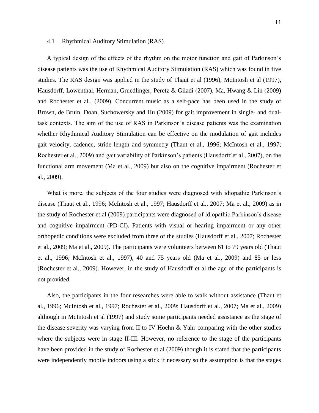#### 4.1 Rhythmical Auditory Stimulation (RAS)

A typical design of the effects of the rhythm on the motor function and gait of Parkinson"s disease patients was the use of Rhythmical Auditory Stimulation (RAS) which was found in five studies. The RAS design was applied in the study of Thaut et al (1996), McIntosh et al (1997), Hausdorff, Lowenthal, Herman, Gruedlinger, Peretz & Giladi (2007), Ma, Hwang & Lin (2009) and Rochester et al., (2009). Concurrent music as a self-pace has been used in the study of Brown, de Bruin, Doan, Suchowersky and Hu (2009) for gait improvement in single- and dualtask contexts. The aim of the use of RAS in Parkinson"s disease patients was the examination whether Rhythmical Auditory Stimulation can be effective on the modulation of gait includes gait velocity, cadence, stride length and symmetry (Thaut et al., 1996; McIntosh et al., 1997; Rochester et al., 2009) and gait variability of Parkinson"s patients (Hausdorff et al., 2007), on the functional arm movement (Ma et al., 2009) but also on the cognitive impairment (Rochester et al., 2009).

What is more, the subjects of the four studies were diagnosed with idiopathic Parkinson's disease (Thaut et al., 1996; McIntosh et al., 1997; Hausdorff et al., 2007; Ma et al., 2009) as in the study of Rochester et al (2009) participants were diagnosed of idiopathic Parkinson"s disease and cognitive impairment (PD-CI). Patients with visual or hearing impairment or any other orthopedic conditions were excluded from three of the studies (Hausdorff et al., 2007; Rochester et al., 2009; Ma et al., 2009). The participants were volunteers between 61 to 79 years old (Thaut et al., 1996; McIntosh et al., 1997), 40 and 75 years old (Ma et al., 2009) and 85 or less (Rochester et al., 2009). However, in the study of Hausdorff et al the age of the participants is not provided.

Also, the participants in the four researches were able to walk without assistance (Thaut et al., 1996; McIntosh et al., 1997; Rochester et al., 2009; Hausdorff et al., 2007; Ma et al., 2009) although in McIntosh et al (1997) and study some participants needed assistance as the stage of the disease severity was varying from II to IV Hoehn & Yahr comparing with the other studies where the subjects were in stage II-III. However, no reference to the stage of the participants have been provided in the study of Rochester et al (2009) though it is stated that the participants were independently mobile indoors using a stick if necessary so the assumption is that the stages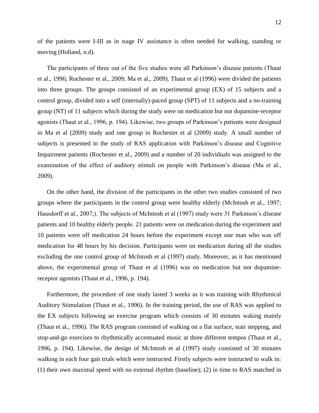of the patients were I-III as in stage IV assistance is often needed for walking, standing or moving (Holland, n.d).

The participants of three out of the five studies were all Parkinson's disease patients (Thaut et al., 1996; Rochester et al., 2009; Ma et al., 2009). Thaut et al (1996) were divided the patients into three groups. The groups consisted of an experimental group (EX) of 15 subjects and a control group, divided into a self (internally)-paced group (SPT) of 11 subjects and a no-training group (NT) of 11 subjects which during the study were on medication but not dopamine-receptor agonists (Thaut et al., 1996, p. 194). Likewise, two groups of Parkinson"s patients were designed in Ma et al (2009) study and one group in Rochester et al (2009) study. A small number of subjects is presented in the study of RAS application with Parkinson's disease and Cognitive Impairment patients (Rochester et al., 2009) and a number of 20 individuals was assigned to the examination of the effect of auditory stimuli on people with Parkinson"s disease (Ma et al., 2009).

On the other hand, the division of the participants in the other two studies consisted of two groups where the participants in the control group were healthy elderly (McIntosh et al., 1997; Hausdorff et al., 2007;). The subjects of McIntosh et al (1997) study were 31 Parkinson's disease patients and 10 healthy elderly people. 21 patients were on medication during the experiment and 10 patients were off medication 24 hours before the experiment except one man who was off medication for 48 hours by his decision. Participants were on medication during all the studies excluding the one control group of McIntosh et al (1997) study. Moreover, as it has mentioned above, the experimental group of Thaut et al (1996) was on medication but not dopaminereceptor agonists (Thaut et al., 1996, p. 194).

Furthermore, the procedure of one study lasted 3 weeks as it was training with Rhythmical Auditory Stimulation (Thaut et al., 1996). In the training period, the use of RAS was applied to the EX subjects following an exercise program which consists of 30 minutes waking mainly (Thaut et al., 1996). The RAS program consisted of walking on a flat surface, stair stepping, and stop-and-go exercises to rhythmically accentuated music at three different tempos (Thaut et al., 1996, p. 194). Likewise, the design of McIntosh et al (1997) study consisted of 30 minutes walking in each four gait trials which were instructed. Firstly subjects were instructed to walk in: (1) their own maximal speed with no external rhythm (baseline); (2) in time to RAS matched in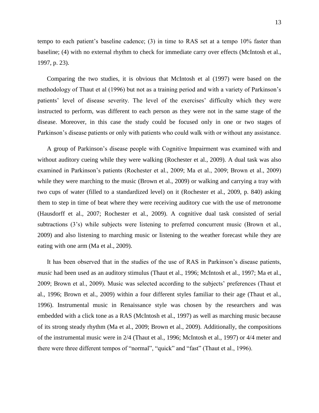tempo to each patient"s baseline cadence; (3) in time to RAS set at a tempo 10% faster than baseline; (4) with no external rhythm to check for immediate carry over effects (McIntosh et al., 1997, p. 23).

Comparing the two studies, it is obvious that McIntosh et al (1997) were based on the methodology of Thaut et al (1996) but not as a training period and with a variety of Parkinson"s patients' level of disease severity. The level of the exercises' difficulty which they were instructed to perform, was different to each person as they were not in the same stage of the disease. Moreover, in this case the study could be focused only in one or two stages of Parkinson"s disease patients or only with patients who could walk with or without any assistance.

A group of Parkinson"s disease people with Cognitive Impairment was examined with and without auditory cueing while they were walking (Rochester et al., 2009). A dual task was also examined in Parkinson's patients (Rochester et al., 2009; Ma et al., 2009; Brown et al., 2009) while they were marching to the music (Brown et al., 2009) or walking and carrying a tray with two cups of water (filled to a standardized level) on it (Rochester et al., 2009, p. 840) asking them to step in time of beat where they were receiving auditory cue with the use of metronome (Hausdorff et al., 2007; Rochester et al., 2009). A cognitive dual task consisted of serial subtractions (3's) while subjects were listening to preferred concurrent music (Brown et al., 2009) and also listening to marching music or listening to the weather forecast while they are eating with one arm (Ma et al., 2009).

It has been observed that in the studies of the use of RAS in Parkinson"s disease patients, *music* had been used as an auditory stimulus (Thaut et al., 1996; McIntosh et al., 1997; Ma et al., 2009; Brown et al., 2009). Music was selected according to the subjects' preferences (Thaut et al., 1996; Brown et al., 2009) within a four different styles familiar to their age (Thaut et al., 1996). Instrumental music in Renaissance style was chosen by the researchers and was embedded with a click tone as a RAS (McIntosh et al., 1997) as well as marching music because of its strong steady rhythm (Ma et al., 2009; Brown et al., 2009). Additionally, the compositions of the instrumental music were in 2/4 (Thaut et al., 1996; McIntosh et al., 1997) or 4/4 meter and there were three different tempos of "normal", "quick" and "fast" (Thaut et al., 1996).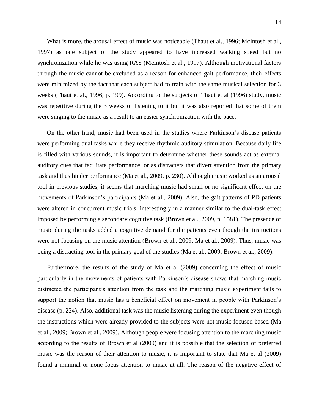What is more, the arousal effect of music was noticeable (Thaut et al., 1996; McIntosh et al., 1997) as one subject of the study appeared to have increased walking speed but no synchronization while he was using RAS (McIntosh et al., 1997). Although motivational factors through the music cannot be excluded as a reason for enhanced gait performance, their effects were minimized by the fact that each subject had to train with the same musical selection for 3 weeks (Thaut et al., 1996, p. 199). According to the subjects of Thaut et al (1996) study, music was repetitive during the 3 weeks of listening to it but it was also reported that some of them were singing to the music as a result to an easier synchronization with the pace.

On the other hand, music had been used in the studies where Parkinson"s disease patients were performing dual tasks while they receive rhythmic auditory stimulation. Because daily life is filled with various sounds, it is important to determine whether these sounds act as external auditory cues that facilitate performance, or as distracters that divert attention from the primary task and thus hinder performance (Ma et al., 2009, p. 230). Although music worked as an arousal tool in previous studies, it seems that marching music had small or no significant effect on the movements of Parkinson"s participants (Ma et al., 2009). Also, the gait patterns of PD patients were altered in concurrent music trials, interestingly in a manner similar to the dual-task effect imposed by performing a secondary cognitive task (Brown et al., 2009, p. 1581). The presence of music during the tasks added a cognitive demand for the patients even though the instructions were not focusing on the music attention (Brown et al., 2009; Ma et al., 2009). Thus, music was being a distracting tool in the primary goal of the studies (Ma et al., 2009; Brown et al., 2009).

Furthermore, the results of the study of Ma et al (2009) concerning the effect of music particularly in the movements of patients with Parkinson"s disease shows that marching music distracted the participant"s attention from the task and the marching music experiment fails to support the notion that music has a beneficial effect on movement in people with Parkinson's disease (p. 234). Also, additional task was the music listening during the experiment even though the instructions which were already provided to the subjects were not music focused based (Ma et al., 2009; Brown et al., 2009). Although people were focusing attention to the marching music according to the results of Brown et al (2009) and it is possible that the selection of preferred music was the reason of their attention to music, it is important to state that Ma et al (2009) found a minimal or none focus attention to music at all. The reason of the negative effect of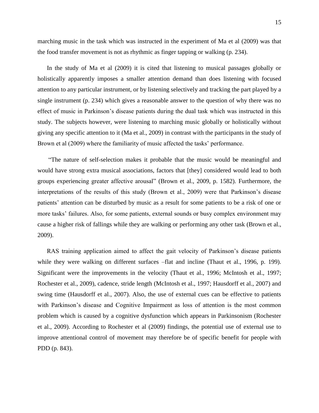marching music in the task which was instructed in the experiment of Ma et al (2009) was that the food transfer movement is not as rhythmic as finger tapping or walking (p. 234).

In the study of Ma et al (2009) it is cited that listening to musical passages globally or holistically apparently imposes a smaller attention demand than does listening with focused attention to any particular instrument, or by listening selectively and tracking the part played by a single instrument (p. 234) which gives a reasonable answer to the question of why there was no effect of music in Parkinson"s disease patients during the dual task which was instructed in this study. The subjects however, were listening to marching music globally or holistically without giving any specific attention to it (Ma et al., 2009) in contrast with the participants in the study of Brown et al (2009) where the familiarity of music affected the tasks' performance.

"The nature of self-selection makes it probable that the music would be meaningful and would have strong extra musical associations, factors that [they] considered would lead to both groups experiencing greater affective arousal" (Brown et al., 2009, p. 1582). Furthermore, the interpretations of the results of this study (Brown et al., 2009) were that Parkinson's disease patients' attention can be disturbed by music as a result for some patients to be a risk of one or more tasks' failures. Also, for some patients, external sounds or busy complex environment may cause a higher risk of fallings while they are walking or performing any other task (Brown et al., 2009).

RAS training application aimed to affect the gait velocity of Parkinson"s disease patients while they were walking on different surfaces –flat and incline (Thaut et al., 1996, p. 199). Significant were the improvements in the velocity (Thaut et al., 1996; McIntosh et al., 1997; Rochester et al., 2009), cadence, stride length (McIntosh et al., 1997; Hausdorff et al., 2007) and swing time (Hausdorff et al., 2007). Also, the use of external cues can be effective to patients with Parkinson's disease and Cognitive Impairment as loss of attention is the most common problem which is caused by a cognitive dysfunction which appears in Parkinsonism (Rochester et al., 2009). According to Rochester et al (2009) findings, the potential use of external use to improve attentional control of movement may therefore be of specific benefit for people with PDD (p. 843).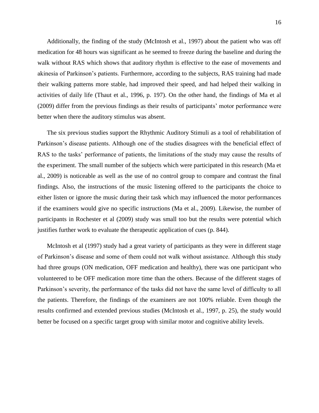Additionally, the finding of the study (McIntosh et al., 1997) about the patient who was off medication for 48 hours was significant as he seemed to freeze during the baseline and during the walk without RAS which shows that auditory rhythm is effective to the ease of movements and akinesia of Parkinson"s patients. Furthermore, according to the subjects, RAS training had made their walking patterns more stable, had improved their speed, and had helped their walking in activities of daily life (Thaut et al., 1996, p. 197). On the other hand, the findings of Ma et al (2009) differ from the previous findings as their results of participants" motor performance were better when there the auditory stimulus was absent.

The six previous studies support the Rhythmic Auditory Stimuli as a tool of rehabilitation of Parkinson's disease patients. Although one of the studies disagrees with the beneficial effect of RAS to the tasks' performance of patients, the limitations of the study may cause the results of the experiment. The small number of the subjects which were participated in this research (Ma et al., 2009) is noticeable as well as the use of no control group to compare and contrast the final findings. Also, the instructions of the music listening offered to the participants the choice to either listen or ignore the music during their task which may influenced the motor performances if the examiners would give no specific instructions (Ma et al., 2009). Likewise, the number of participants in Rochester et al (2009) study was small too but the results were potential which justifies further work to evaluate the therapeutic application of cues (p. 844).

McIntosh et al (1997) study had a great variety of participants as they were in different stage of Parkinson"s disease and some of them could not walk without assistance. Although this study had three groups (ON medication, OFF medication and healthy), there was one participant who volunteered to be OFF medication more time than the others. Because of the different stages of Parkinson"s severity, the performance of the tasks did not have the same level of difficulty to all the patients. Therefore, the findings of the examiners are not 100% reliable. Even though the results confirmed and extended previous studies (McIntosh et al., 1997, p. 25), the study would better be focused on a specific target group with similar motor and cognitive ability levels.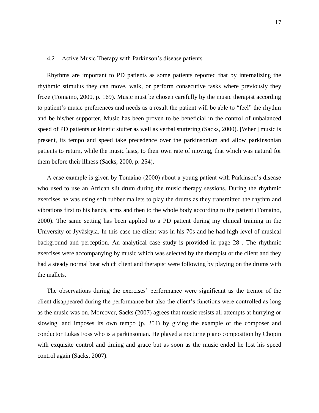## 4.2 Active Music Therapy with Parkinson"s disease patients

Rhythms are important to PD patients as some patients reported that by internalizing the rhythmic stimulus they can move, walk, or perform consecutive tasks where previously they froze (Tomaino, 2000, p. 169). Music must be chosen carefully by the music therapist according to patient"s music preferences and needs as a result the patient will be able to "feel" the rhythm and be his/her supporter. Music has been proven to be beneficial in the control of unbalanced speed of PD patients or kinetic stutter as well as verbal stuttering (Sacks, 2000). [When] music is present, its tempo and speed take precedence over the parkinsonism and allow parkinsonian patients to return, while the music lasts, to their own rate of moving, that which was natural for them before their illness (Sacks, 2000, p. 254).

A case example is given by Tomaino (2000) about a young patient with Parkinson"s disease who used to use an African slit drum during the music therapy sessions. During the rhythmic exercises he was using soft rubber mallets to play the drums as they transmitted the rhythm and vibrations first to his hands, arms and then to the whole body according to the patient (Tomaino, 2000). The same setting has been applied to a PD patient during my clinical training in the University of Jyväskylä. In this case the client was in his 70s and he had high level of musical background and perception. An analytical case study is provided in page 28 . The rhythmic exercises were accompanying by music which was selected by the therapist or the client and they had a steady normal beat which client and therapist were following by playing on the drums with the mallets.

The observations during the exercises' performance were significant as the tremor of the client disappeared during the performance but also the client"s functions were controlled as long as the music was on. Moreover, Sacks (2007) agrees that music resists all attempts at hurrying or slowing, and imposes its own tempo (p. 254) by giving the example of the composer and conductor Lukas Foss who is a parkinsonian. He played a nocturne piano composition by Chopin with exquisite control and timing and grace but as soon as the music ended he lost his speed control again (Sacks, 2007).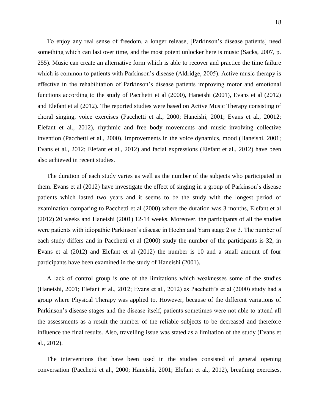To enjoy any real sense of freedom, a longer release, [Parkinson"s disease patients] need something which can last over time, and the most potent unlocker here is music (Sacks, 2007, p. 255). Music can create an alternative form which is able to recover and practice the time failure which is common to patients with Parkinson's disease (Aldridge, 2005). Active music therapy is effective in the rehabilitation of Parkinson"s disease patients improving motor and emotional functions according to the study of Pacchetti et al (2000), Haneishi (2001), Evans et al (2012) and Elefant et al (2012). The reported studies were based on Active Music Therapy consisting of choral singing, voice exercises (Pacchetti et al., 2000; Haneishi, 2001; Evans et al., 20012; Elefant et al., 2012), rhythmic and free body movements and music involving collective invention (Pacchetti et al., 2000). Improvements in the voice dynamics, mood (Haneishi, 2001; Evans et al., 2012; Elefant et al., 2012) and facial expressions (Elefant et al., 2012) have been also achieved in recent studies.

The duration of each study varies as well as the number of the subjects who participated in them. Evans et al (2012) have investigate the effect of singing in a group of Parkinson"s disease patients which lasted two years and it seems to be the study with the longest period of examination comparing to Pacchetti et al (2000) where the duration was 3 months, Elefant et al (2012) 20 weeks and Haneishi (2001) 12-14 weeks. Moreover, the participants of all the studies were patients with idiopathic Parkinson"s disease in Hoehn and Yarn stage 2 or 3. The number of each study differs and in Pacchetti et al (2000) study the number of the participants is 32, in Evans et al (2012) and Elefant et al (2012) the number is 10 and a small amount of four participants have been examined in the study of Haneishi (2001).

A lack of control group is one of the limitations which weaknesses some of the studies (Haneishi, 2001; Elefant et al., 2012; Evans et al., 2012) as Pacchetti"s et al (2000) study had a group where Physical Therapy was applied to. However, because of the different variations of Parkinson"s disease stages and the disease itself, patients sometimes were not able to attend all the assessments as a result the number of the reliable subjects to be decreased and therefore influence the final results. Also, travelling issue was stated as a limitation of the study (Evans et al., 2012).

The interventions that have been used in the studies consisted of general opening conversation (Pacchetti et al., 2000; Haneishi, 2001; Elefant et al., 2012), breathing exercises,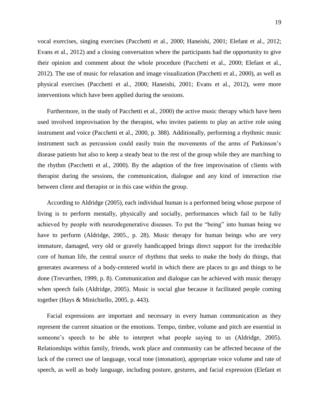vocal exercises, singing exercises (Pacchetti et al., 2000; Haneishi, 2001; Elefant et al., 2012; Evans et al., 2012) and a closing conversation where the participants had the opportunity to give their opinion and comment about the whole procedure (Pacchetti et al., 2000; Elefant et al., 2012). The use of music for relaxation and image visualization (Pacchetti et al., 2000), as well as physical exercises (Pacchetti et al., 2000; Haneishi, 2001; Evans et al., 2012), were more interventions which have been applied during the sessions.

Furthermore, in the study of Pacchetti et al., 2000) the active music therapy which have been used involved improvisation by the therapist, who invites patients to play an active role using instrument and voice (Pacchetti et al., 2000, p. 388). Additionally, performing a rhythmic music instrument such as percussion could easily train the movements of the arms of Parkinson"s disease patients but also to keep a steady beat to the rest of the group while they are marching to the rhythm (Pacchetti et al., 2000). By the adaption of the free improvisation of clients with therapist during the sessions, the communication, dialogue and any kind of interaction rise between client and therapist or in this case within the group.

According to Aldridge (2005), each individual human is a performed being whose purpose of living is to perform mentally, physically and socially, performances which fail to be fully achieved by people with neurodegenerative diseases. To put the "being" into human being we have to perform (Aldridge, 2005., p. 28). Music therapy for human beings who are very immature, damaged, very old or gravely handicapped brings direct support for the irreducible core of human life, the central source of rhythms that seeks to make the body do things, that generates awareness of a body-centered world in which there are places to go and things to be done (Trevarthen, 1999, p. 8). Communication and dialogue can be achieved with music therapy when speech fails (Aldridge, 2005). Music is social glue because it facilitated people coming together (Hays & Minichiello, 2005, p. 443).

Facial expressions are important and necessary in every human communication as they represent the current situation or the emotions. Tempo, timbre, volume and pitch are essential in someone's speech to be able to interpret what people saying to us (Aldridge, 2005). Relationships within family, friends, work place and community can be affected because of the lack of the correct use of language, vocal tone (intonation), appropriate voice volume and rate of speech, as well as body language, including posture, gestures, and facial expression (Elefant et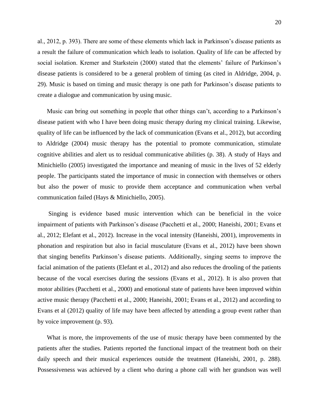al., 2012, p. 393). There are some of these elements which lack in Parkinson"s disease patients as a result the failure of communication which leads to isolation. Quality of life can be affected by social isolation. Kremer and Starkstein (2000) stated that the elements' failure of Parkinson's disease patients is considered to be a general problem of timing (as cited in Aldridge, 2004, p. 29). Music is based on timing and music therapy is one path for Parkinson"s disease patients to create a dialogue and communication by using music.

Music can bring out something in people that other things can"t, according to a Parkinson"s disease patient with who I have been doing music therapy during my clinical training. Likewise, quality of life can be influenced by the lack of communication (Evans et al., 2012), but according to Aldridge (2004) music therapy has the potential to promote communication, stimulate cognitive abilities and alert us to residual communicative abilities (p. 38). A study of Hays and Minichiello (2005) investigated the importance and meaning of music in the lives of 52 elderly people. The participants stated the importance of music in connection with themselves or others but also the power of music to provide them acceptance and communication when verbal communication failed (Hays & Minichiello, 2005).

Singing is evidence based music intervention which can be beneficial in the voice impairment of patients with Parkinson"s disease (Pacchetti et al., 2000; Haneishi, 2001; Evans et al., 2012; Elefant et al., 2012). Increase in the vocal intensity (Haneishi, 2001), improvements in phonation and respiration but also in facial musculature (Evans et al., 2012) have been shown that singing benefits Parkinson"s disease patients. Additionally, singing seems to improve the facial animation of the patients (Elefant et al., 2012) and also reduces the drooling of the patients because of the vocal exercises during the sessions (Evans et al., 2012). It is also proven that motor abilities (Pacchetti et al., 2000) and emotional state of patients have been improved within active music therapy (Pacchetti et al., 2000; Haneishi, 2001; Evans et al., 2012) and according to Evans et al (2012) quality of life may have been affected by attending a group event rather than by voice improvement (p. 93).

What is more, the improvements of the use of music therapy have been commented by the patients after the studies. Patients reported the functional impact of the treatment both on their daily speech and their musical experiences outside the treatment (Haneishi, 2001, p. 288). Possessiveness was achieved by a client who during a phone call with her grandson was well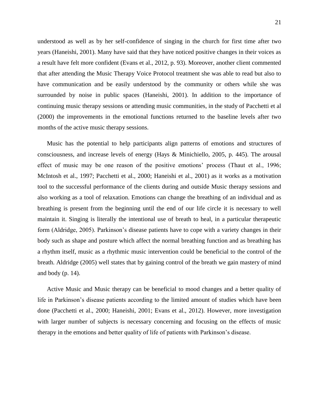understood as well as by her self-confidence of singing in the church for first time after two years (Haneishi, 2001). Many have said that they have noticed positive changes in their voices as a result have felt more confident (Evans et al., 2012, p. 93). Moreover, another client commented that after attending the Music Therapy Voice Protocol treatment she was able to read but also to have communication and be easily understood by the community or others while she was surrounded by noise in public spaces (Haneishi, 2001). In addition to the importance of continuing music therapy sessions or attending music communities, in the study of Pacchetti et al (2000) the improvements in the emotional functions returned to the baseline levels after two months of the active music therapy sessions.

Music has the potential to help participants align patterns of emotions and structures of consciousness, and increase levels of energy (Hays & Minichiello, 2005, p. 445). The arousal effect of music may be one reason of the positive emotions' process (Thaut et al., 1996; McIntosh et al., 1997; Pacchetti et al., 2000; Haneishi et al., 2001) as it works as a motivation tool to the successful performance of the clients during and outside Music therapy sessions and also working as a tool of relaxation. Emotions can change the breathing of an individual and as breathing is present from the beginning until the end of our life circle it is necessary to well maintain it. Singing is literally the intentional use of breath to heal, in a particular therapeutic form (Aldridge, 2005). Parkinson's disease patients have to cope with a variety changes in their body such as shape and posture which affect the normal breathing function and as breathing has a rhythm itself, music as a rhythmic music intervention could be beneficial to the control of the breath. Aldridge (2005) well states that by gaining control of the breath we gain mastery of mind and body (p. 14).

Active Music and Music therapy can be beneficial to mood changes and a better quality of life in Parkinson"s disease patients according to the limited amount of studies which have been done (Pacchetti et al., 2000; Haneishi, 2001; Evans et al., 2012). However, more investigation with larger number of subjects is necessary concerning and focusing on the effects of music therapy in the emotions and better quality of life of patients with Parkinson"s disease.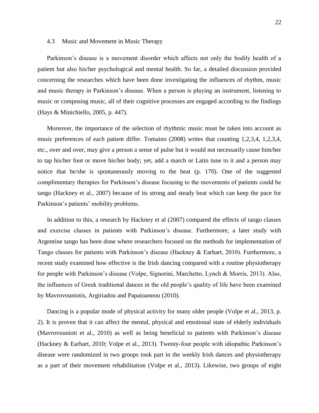#### 4.3 Music and Movement in Music Therapy

Parkinson's disease is a movement disorder which affects not only the bodily health of a patient but also his/her psychological and mental health. So far, a detailed discussion provided concerning the researches which have been done investigating the influences of rhythm, music and music therapy in Parkinson"s disease. When a person is playing an instrument, listening to music or composing music, all of their cognitive processes are engaged according to the findings (Hays & Minichiello, 2005, p. 447).

Moreover, the importance of the selection of rhythmic music must be taken into account as music preferences of each patient differ. Tomaino (2008) writes that counting 1,2,3,4, 1,2,3,4, etc., over and over, may give a person a sense of pulse but it would not necessarily cause him/her to tap his/her foot or move his/her body; yet, add a march or Latin tune to it and a person may notice that he/she is spontaneously moving to the beat (p. 170). One of the suggested complimentary therapies for Parkinson"s disease focusing to the movements of patients could be tango (Hackney et al., 2007) because of its strong and steady beat which can keep the pace for Parkinson's patients' mobility problems.

In addition to this, a research by Hackney et al (2007) compared the effects of tango classes and exercise classes in patients with Parkinson"s disease. Furthermore, a later study with Argentine tango has been done where researchers focused on the methods for implementation of Tango classes for patients with Parkinson's disease (Hackney & Earhart, 2010). Furthermore, a recent study examined how effective is the Irish dancing compared with a routine physiotherapy for people with Parkinson"s disease (Volpe, Signorini, Marchetto, Lynch & Morris, 2013). Also, the influences of Greek traditional dances in the old people"s quality of life have been examined by Mavrovouniotis, Argiriadou and Papaioannou (2010).

Dancing is a popular mode of physical activity for many older people (Volpe et al., 2013, p. 2). It is proven that it can affect the mental, physical and emotional state of elderly individuals (Mavrovounioti et al., 2010) as well as being beneficial to patients with Parkinson"s disease (Hackney & Earhart, 2010; Volpe et al., 2013). Twenty-four people with idiopathic Parkinson"s disease were randomized in two groups took part in the weekly Irish dances and physiotherapy as a part of their movement rehabilitation (Volpe et al., 2013). Likewise, two groups of eight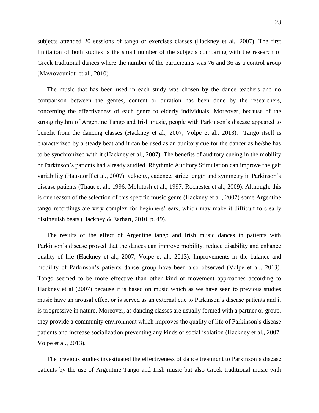subjects attended 20 sessions of tango or exercises classes (Hackney et al., 2007). The first limitation of both studies is the small number of the subjects comparing with the research of Greek traditional dances where the number of the participants was 76 and 36 as a control group (Mavrovounioti et al., 2010).

The music that has been used in each study was chosen by the dance teachers and no comparison between the genres, content or duration has been done by the researchers, concerning the effectiveness of each genre to elderly individuals. Moreover, because of the strong rhythm of Argentine Tango and Irish music, people with Parkinson"s disease appeared to benefit from the dancing classes (Hackney et al., 2007; Volpe et al., 2013). Tango itself is characterized by a steady beat and it can be used as an auditory cue for the dancer as he/she has to be synchronized with it (Hackney et al., 2007). The benefits of auditory cueing in the mobility of Parkinson"s patients had already studied. Rhythmic Auditory Stimulation can improve the gait variability (Hausdorff et al., 2007), velocity, cadence, stride length and symmetry in Parkinson"s disease patients (Thaut et al., 1996; McIntosh et al., 1997; Rochester et al., 2009). Although, this is one reason of the selection of this specific music genre (Hackney et al., 2007) some Argentine tango recordings are very complex for beginners' ears, which may make it difficult to clearly distinguish beats (Hackney & Earhart, 2010, p. 49).

The results of the effect of Argentine tango and Irish music dances in patients with Parkinson's disease proved that the dances can improve mobility, reduce disability and enhance quality of life (Hackney et al., 2007; Volpe et al., 2013). Improvements in the balance and mobility of Parkinson's patients dance group have been also observed (Volpe et al., 2013). Tango seemed to be more effective than other kind of movement approaches according to Hackney et al (2007) because it is based on music which as we have seen to previous studies music have an arousal effect or is served as an external cue to Parkinson"s disease patients and it is progressive in nature. Moreover, as dancing classes are usually formed with a partner or group, they provide a community environment which improves the quality of life of Parkinson"s disease patients and increase socialization preventing any kinds of social isolation (Hackney et al., 2007; Volpe et al., 2013).

The previous studies investigated the effectiveness of dance treatment to Parkinson"s disease patients by the use of Argentine Tango and Irish music but also Greek traditional music with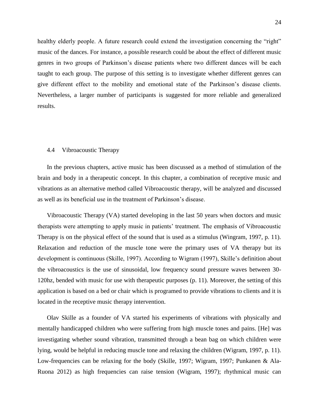healthy elderly people. A future research could extend the investigation concerning the "right" music of the dances. For instance, a possible research could be about the effect of different music genres in two groups of Parkinson"s disease patients where two different dances will be each taught to each group. The purpose of this setting is to investigate whether different genres can give different effect to the mobility and emotional state of the Parkinson"s disease clients. Nevertheless, a larger number of participants is suggested for more reliable and generalized results.

#### 4.4 Vibroacoustic Therapy

In the previous chapters, active music has been discussed as a method of stimulation of the brain and body in a therapeutic concept. In this chapter, a combination of receptive music and vibrations as an alternative method called Vibroacoustic therapy, will be analyzed and discussed as well as its beneficial use in the treatment of Parkinson"s disease.

Vibroacoustic Therapy (VA) started developing in the last 50 years when doctors and music therapists were attempting to apply music in patients" treatment. The emphasis of Vibroacoustic Therapy is on the physical effect of the sound that is used as a stimulus (Wingram, 1997, p. 11). Relaxation and reduction of the muscle tone were the primary uses of VA therapy but its development is continuous (Skille, 1997). According to Wigram (1997), Skille"s definition about the vibroacoustics is the use of sinusoidal, low frequency sound pressure waves between 30- 120hz, bended with music for use with therapeutic purposes (p. 11). Moreover, the setting of this application is based on a bed or chair which is programed to provide vibrations to clients and it is located in the receptive music therapy intervention.

Olav Skille as a founder of VA started his experiments of vibrations with physically and mentally handicapped children who were suffering from high muscle tones and pains. [He] was investigating whether sound vibration, transmitted through a bean bag on which children were lying, would be helpful in reducing muscle tone and relaxing the children (Wigram, 1997, p. 11). Low-frequencies can be relaxing for the body (Skille, 1997; Wigram, 1997; Punkanen & Ala-Ruona 2012) as high frequencies can raise tension (Wigram, 1997); rhythmical music can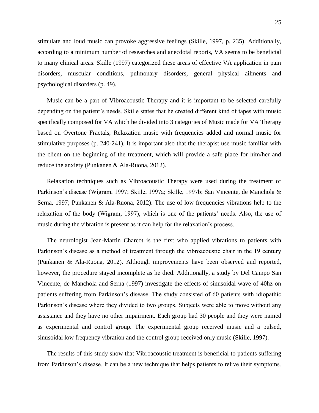stimulate and loud music can provoke aggressive feelings (Skille, 1997, p. 235). Additionally, according to a minimum number of researches and anecdotal reports, VA seems to be beneficial to many clinical areas. Skille (1997) categorized these areas of effective VA application in pain disorders, muscular conditions, pulmonary disorders, general physical ailments and psychological disorders (p. 49).

Music can be a part of Vibroacoustic Therapy and it is important to be selected carefully depending on the patient"s needs. Skille states that he created different kind of tapes with music specifically composed for VA which he divided into 3 categories of Music made for VA Therapy based on Overtone Fractals, Relaxation music with frequencies added and normal music for stimulative purposes (p. 240-241). It is important also that the therapist use music familiar with the client on the beginning of the treatment, which will provide a safe place for him/her and reduce the anxiety (Punkanen & Ala-Ruona, 2012).

Relaxation techniques such as Vibroacoustic Therapy were used during the treatment of Parkinson's disease (Wigram, 1997; Skille, 1997a; Skille, 1997b; San Vincente, de Manchola & Serna, 1997; Punkanen & Ala-Ruona, 2012). The use of low frequencies vibrations help to the relaxation of the body (Wigram, 1997), which is one of the patients" needs. Also, the use of music during the vibration is present as it can help for the relaxation"s process.

The neurologist Jean-Martin Charcot is the first who applied vibrations to patients with Parkinson's disease as a method of treatment through the vibroacoustic chair in the 19 century (Punkanen & Ala-Ruona, 2012). Although improvements have been observed and reported, however, the procedure stayed incomplete as he died. Additionally, a study by Del Campo San Vincente, de Manchola and Serna (1997) investigate the effects of sinusoidal wave of 40hz on patients suffering from Parkinson"s disease. The study consisted of 60 patients with idiopathic Parkinson's disease where they divided to two groups. Subjects were able to move without any assistance and they have no other impairment. Each group had 30 people and they were named as experimental and control group. The experimental group received music and a pulsed, sinusoidal low frequency vibration and the control group received only music (Skille, 1997).

The results of this study show that Vibroacoustic treatment is beneficial to patients suffering from Parkinson"s disease. It can be a new technique that helps patients to relive their symptoms.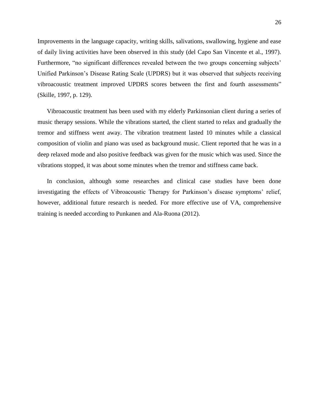Improvements in the language capacity, writing skills, salivations, swallowing, hygiene and ease of daily living activities have been observed in this study (del Capo San Vincente et al., 1997). Furthermore, "no significant differences revealed between the two groups concerning subjects' Unified Parkinson"s Disease Rating Scale (UPDRS) but it was observed that subjects receiving vibroacoustic treatment improved UPDRS scores between the first and fourth assessments" (Skille, 1997, p. 129).

Vibroacoustic treatment has been used with my elderly Parkinsonian client during a series of music therapy sessions. While the vibrations started, the client started to relax and gradually the tremor and stiffness went away. The vibration treatment lasted 10 minutes while a classical composition of violin and piano was used as background music. Client reported that he was in a deep relaxed mode and also positive feedback was given for the music which was used. Since the vibrations stopped, it was about some minutes when the tremor and stiffness came back.

In conclusion, although some researches and clinical case studies have been done investigating the effects of Vibroacoustic Therapy for Parkinson's disease symptoms' relief, however, additional future research is needed. For more effective use of VA, comprehensive training is needed according to Punkanen and Ala-Ruona (2012).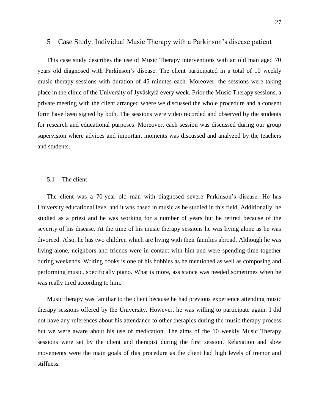# 5 Case Study: Individual Music Therapy with a Parkinson"s disease patient

This case study describes the use of Music Therapy interventions with an old man aged 70 years old diagnosed with Parkinson"s disease. The client participated in a total of 10 weekly music therapy sessions with duration of 45 minutes each. Moreover, the sessions were taking place in the clinic of the University of Jyväskylä every week. Prior the Music Therapy sessions, a private meeting with the client arranged where we discussed the whole procedure and a consent form have been signed by both. The sessions were video recorded and observed by the students for research and educational purposes. Moreover, each session was discussed during our group supervision where advices and important moments was discussed and analyzed by the teachers and students.

## 5.1 The client

The client was a 70-year old man with diagnosed severe Parkinson"s disease. He has University educational level and it was based in music as he studied in this field. Additionally, he studied as a priest and he was working for a number of years but he retired because of the severity of his disease. At the time of his music therapy sessions he was living alone as he was divorced. Also, he has two children which are living with their families abroad. Although he was living alone, neighbors and friends were in contact with him and were spending time together during weekends. Writing books is one of his hobbies as he mentioned as well as composing and performing music, specifically piano. What is more, assistance was needed sometimes when he was really tired according to him.

Music therapy was familiar to the client because he had previous experience attending music therapy sessions offered by the University. However, he was willing to participate again. I did not have any references about his attendance to other therapies during the music therapy process but we were aware about his use of medication. The aims of the 10 weekly Music Therapy sessions were set by the client and therapist during the first session. Relaxation and slow movements were the main goals of this procedure as the client had high levels of tremor and stiffness.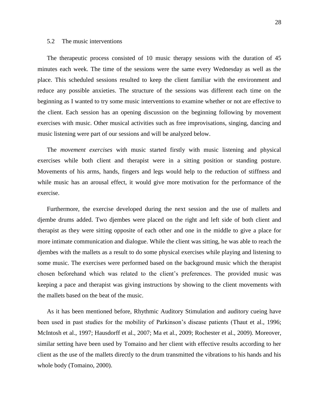# 5.2 The music interventions

The therapeutic process consisted of 10 music therapy sessions with the duration of 45 minutes each week. The time of the sessions were the same every Wednesday as well as the place. This scheduled sessions resulted to keep the client familiar with the environment and reduce any possible anxieties. The structure of the sessions was different each time on the beginning as I wanted to try some music interventions to examine whether or not are effective to the client. Each session has an opening discussion on the beginning following by movement exercises with music. Other musical activities such as free improvisations, singing, dancing and music listening were part of our sessions and will be analyzed below.

The *movement exercises* with music started firstly with music listening and physical exercises while both client and therapist were in a sitting position or standing posture. Movements of his arms, hands, fingers and legs would help to the reduction of stiffness and while music has an arousal effect, it would give more motivation for the performance of the exercise.

Furthermore, the exercise developed during the next session and the use of mallets and djembe drums added. Two djembes were placed on the right and left side of both client and therapist as they were sitting opposite of each other and one in the middle to give a place for more intimate communication and dialogue. While the client was sitting, he was able to reach the djembes with the mallets as a result to do some physical exercises while playing and listening to some music. The exercises were performed based on the background music which the therapist chosen beforehand which was related to the client"s preferences. The provided music was keeping a pace and therapist was giving instructions by showing to the client movements with the mallets based on the beat of the music.

As it has been mentioned before, Rhythmic Auditory Stimulation and auditory cueing have been used in past studies for the mobility of Parkinson's disease patients (Thaut et al., 1996; McIntosh et al., 1997; Hausdorff et al., 2007; Ma et al., 2009; Rochester et al., 2009). Moreover, similar setting have been used by Tomaino and her client with effective results according to her client as the use of the mallets directly to the drum transmitted the vibrations to his hands and his whole body (Tomaino, 2000).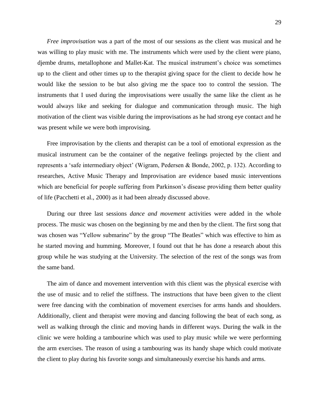*Free improvisation* was a part of the most of our sessions as the client was musical and he was willing to play music with me. The instruments which were used by the client were piano, djembe drums, metallophone and Mallet-Kat. The musical instrument's choice was sometimes up to the client and other times up to the therapist giving space for the client to decide how he would like the session to be but also giving me the space too to control the session. The instruments that I used during the improvisations were usually the same like the client as he would always like and seeking for dialogue and communication through music. The high motivation of the client was visible during the improvisations as he had strong eye contact and he was present while we were both improvising.

Free improvisation by the clients and therapist can be a tool of emotional expression as the musical instrument can be the container of the negative feelings projected by the client and represents a "safe intermediary object" (Wigram, Pedersen & Bonde, 2002, p. 132). According to researches, Active Music Therapy and Improvisation are evidence based music interventions which are beneficial for people suffering from Parkinson's disease providing them better quality of life (Pacchetti et al., 2000) as it had been already discussed above.

During our three last sessions *dance and movement* activities were added in the whole process. The music was chosen on the beginning by me and then by the client. The first song that was chosen was "Yellow submarine" by the group "The Beatles" which was effective to him as he started moving and humming. Moreover, I found out that he has done a research about this group while he was studying at the University. The selection of the rest of the songs was from the same band.

The aim of dance and movement intervention with this client was the physical exercise with the use of music and to relief the stiffness. The instructions that have been given to the client were free dancing with the combination of movement exercises for arms hands and shoulders. Additionally, client and therapist were moving and dancing following the beat of each song, as well as walking through the clinic and moving hands in different ways. During the walk in the clinic we were holding a tambourine which was used to play music while we were performing the arm exercises. The reason of using a tambouring was its handy shape which could motivate the client to play during his favorite songs and simultaneously exercise his hands and arms.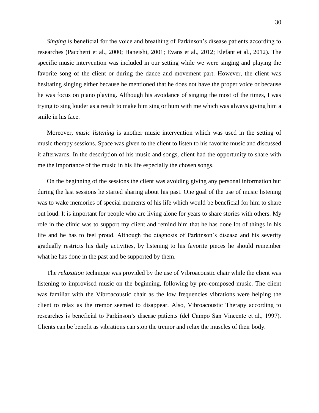*Singing* is beneficial for the voice and breathing of Parkinson's disease patients according to researches (Pacchetti et al., 2000; Haneishi, 2001; Evans et al., 2012; Elefant et al., 2012). The specific music intervention was included in our setting while we were singing and playing the favorite song of the client or during the dance and movement part. However, the client was hesitating singing either because he mentioned that he does not have the proper voice or because he was focus on piano playing. Although his avoidance of singing the most of the times, I was trying to sing louder as a result to make him sing or hum with me which was always giving him a smile in his face.

Moreover, *music listening* is another music intervention which was used in the setting of music therapy sessions. Space was given to the client to listen to his favorite music and discussed it afterwards. In the description of his music and songs, client had the opportunity to share with me the importance of the music in his life especially the chosen songs.

On the beginning of the sessions the client was avoiding giving any personal information but during the last sessions he started sharing about his past. One goal of the use of music listening was to wake memories of special moments of his life which would be beneficial for him to share out loud. It is important for people who are living alone for years to share stories with others. My role in the clinic was to support my client and remind him that he has done lot of things in his life and he has to feel proud. Although the diagnosis of Parkinson"s disease and his severity gradually restricts his daily activities, by listening to his favorite pieces he should remember what he has done in the past and be supported by them.

The *relaxation* technique was provided by the use of Vibroacoustic chair while the client was listening to improvised music on the beginning, following by pre-composed music. The client was familiar with the Vibroacoustic chair as the low frequencies vibrations were helping the client to relax as the tremor seemed to disappear. Also, Vibroacoustic Therapy according to researches is beneficial to Parkinson's disease patients (del Campo San Vincente et al., 1997). Clients can be benefit as vibrations can stop the tremor and relax the muscles of their body.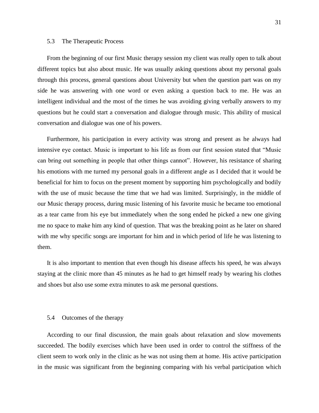# 5.3 The Therapeutic Process

From the beginning of our first Music therapy session my client was really open to talk about different topics but also about music. He was usually asking questions about my personal goals through this process, general questions about University but when the question part was on my side he was answering with one word or even asking a question back to me. He was an intelligent individual and the most of the times he was avoiding giving verbally answers to my questions but he could start a conversation and dialogue through music. This ability of musical conversation and dialogue was one of his powers.

Furthermore, his participation in every activity was strong and present as he always had intensive eye contact. Music is important to his life as from our first session stated that "Music can bring out something in people that other things cannot". However, his resistance of sharing his emotions with me turned my personal goals in a different angle as I decided that it would be beneficial for him to focus on the present moment by supporting him psychologically and bodily with the use of music because the time that we had was limited. Surprisingly, in the middle of our Music therapy process, during music listening of his favorite music he became too emotional as a tear came from his eye but immediately when the song ended he picked a new one giving me no space to make him any kind of question. That was the breaking point as he later on shared with me why specific songs are important for him and in which period of life he was listening to them.

It is also important to mention that even though his disease affects his speed, he was always staying at the clinic more than 45 minutes as he had to get himself ready by wearing his clothes and shoes but also use some extra minutes to ask me personal questions.

#### 5.4 Outcomes of the therapy

According to our final discussion, the main goals about relaxation and slow movements succeeded. The bodily exercises which have been used in order to control the stiffness of the client seem to work only in the clinic as he was not using them at home. His active participation in the music was significant from the beginning comparing with his verbal participation which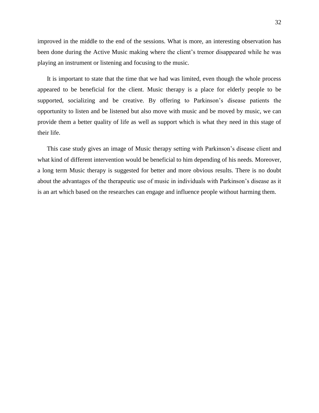improved in the middle to the end of the sessions. What is more, an interesting observation has been done during the Active Music making where the client"s tremor disappeared while he was playing an instrument or listening and focusing to the music.

It is important to state that the time that we had was limited, even though the whole process appeared to be beneficial for the client. Music therapy is a place for elderly people to be supported, socializing and be creative. By offering to Parkinson's disease patients the opportunity to listen and be listened but also move with music and be moved by music, we can provide them a better quality of life as well as support which is what they need in this stage of their life.

This case study gives an image of Music therapy setting with Parkinson"s disease client and what kind of different intervention would be beneficial to him depending of his needs. Moreover, a long term Music therapy is suggested for better and more obvious results. There is no doubt about the advantages of the therapeutic use of music in individuals with Parkinson"s disease as it is an art which based on the researches can engage and influence people without harming them.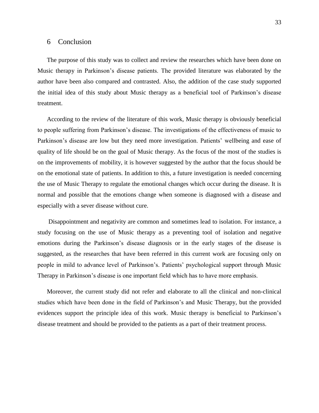# 6 Conclusion

The purpose of this study was to collect and review the researches which have been done on Music therapy in Parkinson"s disease patients. The provided literature was elaborated by the author have been also compared and contrasted. Also, the addition of the case study supported the initial idea of this study about Music therapy as a beneficial tool of Parkinson"s disease treatment.

According to the review of the literature of this work, Music therapy is obviously beneficial to people suffering from Parkinson"s disease. The investigations of the effectiveness of music to Parkinson's disease are low but they need more investigation. Patients' wellbeing and ease of quality of life should be on the goal of Music therapy. As the focus of the most of the studies is on the improvements of mobility, it is however suggested by the author that the focus should be on the emotional state of patients. In addition to this, a future investigation is needed concerning the use of Music Therapy to regulate the emotional changes which occur during the disease. It is normal and possible that the emotions change when someone is diagnosed with a disease and especially with a sever disease without cure.

Disappointment and negativity are common and sometimes lead to isolation. For instance, a study focusing on the use of Music therapy as a preventing tool of isolation and negative emotions during the Parkinson"s disease diagnosis or in the early stages of the disease is suggested, as the researches that have been referred in this current work are focusing only on people in mild to advance level of Parkinson"s. Patients" psychological support through Music Therapy in Parkinson"s disease is one important field which has to have more emphasis.

Moreover, the current study did not refer and elaborate to all the clinical and non-clinical studies which have been done in the field of Parkinson"s and Music Therapy, but the provided evidences support the principle idea of this work. Music therapy is beneficial to Parkinson"s disease treatment and should be provided to the patients as a part of their treatment process.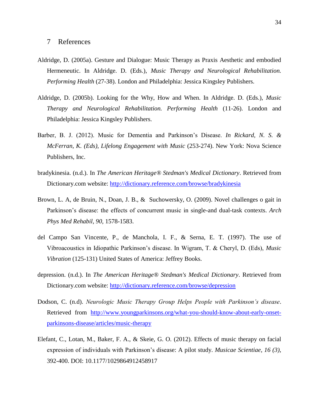- Aldridge, D. (2005a). Gesture and Dialogue: Music Therapy as Praxis Aesthetic and embodied Hermeneutic. In Aldridge. D. (Eds.), *Music Therapy and Neurological Rehabilitation. Performing Health* (27-38). London and Philadelphia: Jessica Kingsley Publishers.
- Aldridge, D. (2005b). Looking for the Why, How and When. In Aldridge. D. (Eds.), *Music Therapy and Neurological Rehabilitation. Performing Health* (11-26). London and Philadelphia: Jessica Kingsley Publishers.
- Barber, B. J. (2012). Music for Dementia and Parkinson"s Disease. *In Rickard, N. S. & McFerran, K. (Eds), Lifelong Engagement with Music* (253-274). New York: Nova Science Publishers, Inc.
- bradykinesia. (n.d.). In *The American Heritage® Stedman's Medical Dictionary*. Retrieved from Dictionary.com website:<http://dictionary.reference.com/browse/bradykinesia>
- Brown, L. A, de Bruin, N., Doan, J. B., & Suchowersky, O. (2009). Novel challenges o gait in Parkinson"s disease: the effects of concurrent music in single-and dual-task contexts. *Arch Phys Med Rehabil, 90,* 1578-1583.
- del Campo San Vincente, P., de Manchola, I. F., & Serna, E. T. (1997). The use of Vibroacoustics in Idiopathic Parkinson"s disease. In Wigram, T. & Cheryl, D. (Eds), *Music Vibration* (125-131) United States of America: Jeffrey Books.
- depression. (n.d.). In *The American Heritage® Stedman's Medical Dictionary*. Retrieved from Dictionary.com website:<http://dictionary.reference.com/browse/depression>
- Dodson, C. (n.d). *Neurologic Music Therapy Group Helps People with Parkinson's disease*. Retrieved from [http://www.youngparkinsons.org/what-you-should-know-about-early-onset](http://www.youngparkinsons.org/what-you-should-know-about-early-onset-parkinsons-disease/articles/music-therapy)[parkinsons-disease/articles/music-therapy](http://www.youngparkinsons.org/what-you-should-know-about-early-onset-parkinsons-disease/articles/music-therapy)
- Elefant, C., Lotan, M., Baker, F. A., & Skeie, G. O. (2012). Effects of music therapy on facial expression of individuals with Parkinson"s disease: A pilot study. *Musicae Scientiae, 16 (3),*  392-400. DOI: 10.1177/1029864912458917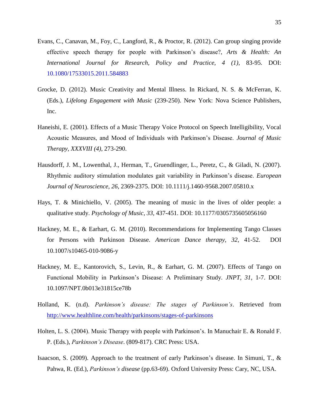- Evans, C., Canavan, M., Foy, C., Langford, R., & Proctor, R. (2012). Can group singing provide effective speech therapy for people with Parkinson"s disease?, *Arts & Health: An International Journal for Research, Policy and Practice, 4 (1),* 83-95. DOI: 10.1080/17533015.2011.584883
- Grocke, D. (2012). Music Creativity and Mental Illness. In Rickard, N. S. & McFerran, K. (Eds.), *Lifelong Engagement with Music* (239-250). New York: Nova Science Publishers, Inc.
- Haneishi, E. (2001). Effects of a Music Therapy Voice Protocol on Speech Intelligibility, Vocal Acoustic Measures, and Mood of Individuals with Parkinson"s Disease. *Journal of Music Therapy, XXXVIII (4)*, 273-290.
- Hausdorff, J. M., Lowenthal, J., Herman, T., Gruendlinger, L., Peretz, C., & Giladi, N. (2007). Rhythmic auditory stimulation modulates gait variability in Parkinson"s disease. *European Journal of Neuroscience, 26*, 2369-2375. DOI: 10.1111/j.1460-9568.2007.05810.x
- Hays, T. & Minichiello, V. (2005). The meaning of music in the lives of older people: a qualitative study. *Psychology of Music, 33,* 437-451. DOI: 10.1177/0305735605056160
- Hackney, M. E., & Earhart, G. M. (2010). Recommendations for Implementing Tango Classes for Persons with Parkinson Disease. *American Dance therapy, 32,* 41-52. DOI 10.1007/s10465-010-9086-y
- Hackney, M. E., Kantorovich, S., Levin, R., & Earhart, G. M. (2007). Effects of Tango on Functional Mobility in Parkinson"s Disease: A Preliminary Study. *JNPT, 31,* 1-7. DOI: 10.1097/NPT.0b013e31815ce78b
- Holland, K. (n.d). *Parkinson's disease: The stages of Parkinson's*. Retrieved from <http://www.healthline.com/health/parkinsons/stages-of-parkinsons>
- Holten, L. S. (2004). Music Therapy with people with Parkinson"s. In Manuchair E. & Ronald F. P. (Eds.), *Parkinson's Disease*. (809-817). CRC Press: USA.
- Isaacson, S. (2009). Approach to the treatment of early Parkinson"s disease. In Simuni, T., & Pahwa, R. (Ed.), *Parkinson's disease* (pp.63-69). Oxford University Press: Cary, NC, USA.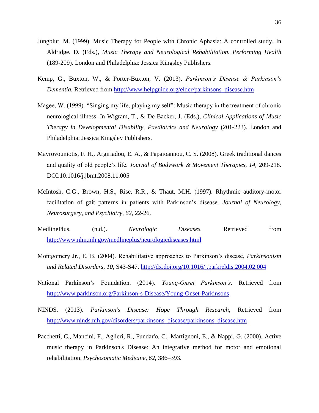- Jungblut, M. (1999). Music Therapy for People with Chronic Aphasia: A controlled study. In Aldridge. D. (Eds.), *Music Therapy and Neurological Rehabilitation. Performing Health*  (189-209). London and Philadelphia: Jessica Kingsley Publishers.
- Kemp, G., Buxton, W., & Porter-Buxton, V. (2013). *Parkinson's Disease & Parkinson's Dementia.* Retrieved from [http://www.helpguide.org/elder/parkinsons\\_disease.htm](http://www.helpguide.org/elder/parkinsons_disease.htm)
- Magee, W. (1999). "Singing my life, playing my self": Music therapy in the treatment of chronic neurological illness. In Wigram, T., & De Backer, J. (Eds.), *Clinical Applications of Music Therapy in Developmental Disability, Paediatrics and Neurology* (201-223). London and Philadelphia: Jessica Kingsley Publishers.
- Mavrovouniotis, F. H., Argiriadou, E. A., & Papaioannou, C. S. (2008). Greek traditional dances and quality of old people"s life. *Journal of Bodywork & Movement Therapies, 14,* 209-218. DOI:10.1016/j.jbmt.2008.11.005
- McIntosh, C.G., Brown, H.S., Rise, R.R., & Thaut, M.H. (1997). Rhythmic auditory-motor facilitation of gait patterns in patients with Parkinson"s disease. *Journal of Neurology, Neurosurgery, and Psychiatry, 62*, 22-26.
- MedlinePlus. (n.d.). *Neurologic Diseases.* Retrieved from <http://www.nlm.nih.gov/medlineplus/neurologicdiseases.html>
- Montgomery Jr., E. B. (2004). Rehabilitative approaches to Parkinson"s disease, *Parkinsonism and Related Disorders, 10,* S43-S47.<http://dx.doi.org/10.1016/j.parkreldis.2004.02.004>
- National Parkinson"s Foundation. (2014). *Young-Onset Parkinson's*. Retrieved from <http://www.parkinson.org/Parkinson-s-Disease/Young-Onset-Parkinsons>
- NINDS. (2013). *Parkinson's Disease: Hope Through Research,* Retrieved from [http://www.ninds.nih.gov/disorders/parkinsons\\_disease/parkinsons\\_disease.htm](http://www.ninds.nih.gov/disorders/parkinsons_disease/parkinsons_disease.htm)
- Pacchetti, C., Mancini, F., Aglieri, R., Fundar'o, C., Martignoni, E., & Nappi, G. (2000). Active music therapy in Parkinson's Disease: An integrative method for motor and emotional rehabilitation. *Psychosomatic Medicine, 62,* 386–393.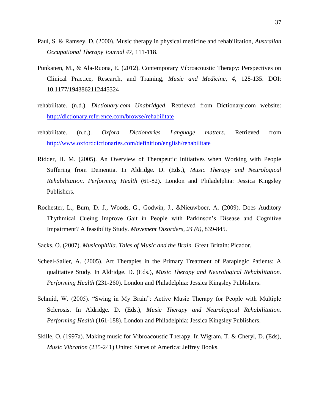- Paul, S. & Ramsey, D. (2000). Music therapy in physical medicine and rehabilitation, *Australian Occupational Therapy Journal 47,* 111-118.
- Punkanen, M., & Ala-Ruona, E. (2012). Contemporary Vibroacoustic Therapy: Perspectives on Clinical Practice, Research, and Training, *Music and Medicine, 4*, 128-135. DOI: 10.1177/1943862112445324
- rehabilitate. (n.d.). *Dictionary.com Unabridged*. Retrieved from Dictionary.com website: <http://dictionary.reference.com/browse/rehabilitate>
- rehabilitate. (n.d.). *Oxford Dictionaries Language matters*. Retrieved from <http://www.oxforddictionaries.com/definition/english/rehabilitate>
- Ridder, H. M. (2005). An Overview of Therapeutic Initiatives when Working with People Suffering from Dementia. In Aldridge. D. (Eds.), *Music Therapy and Neurological Rehabilitation. Performing Health* (61-82). London and Philadelphia: Jessica Kingsley Publishers.
- Rochester, L., Burn, D. J., Woods, G., Godwin, J., &Nieuwboer, A. (2009). Does Auditory Thythmical Cueing Improve Gait in People with Parkinson"s Disease and Cognitive Impairment? A feasibility Study. *Movement Disorders, 24 (6),* 839-845.
- Sacks, O. (2007). *Musicophilia. Tales of Music and the Brain.* Great Britain: Picador.
- Scheel-Sailer, A. (2005). Art Therapies in the Primary Treatment of Paraplegic Patients: A qualitative Study. In Aldridge. D. (Eds.), *Music Therapy and Neurological Rehabilitation. Performing Health* (231-260). London and Philadelphia: Jessica Kingsley Publishers.
- Schmid, W. (2005). "Swing in My Brain": Active Music Therapy for People with Multiple Sclerosis. In Aldridge. D. (Eds.), *Music Therapy and Neurological Rehabilitation. Performing Health* (161-188). London and Philadelphia: Jessica Kingsley Publishers.
- Skille, O. (1997a). Making music for Vibroacoustic Therapy. In Wigram, T. & Cheryl, D. (Eds), *Music Vibration* (235-241) United States of America: Jeffrey Books.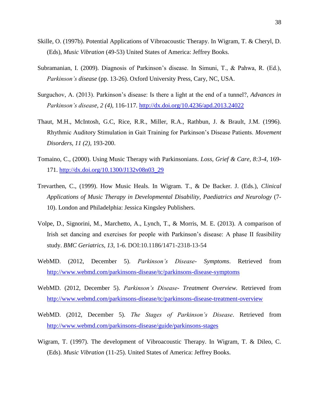- Skille, O. (1997b). Potential Applications of Vibroacoustic Therapy. In Wigram, T. & Cheryl, D. (Eds), *Music Vibration* (49-53) United States of America: Jeffrey Books.
- Subramanian, I. (2009). Diagnosis of Parkinson"s disease. In Simuni, T., & Pahwa, R. (Ed.), *Parkinson's disease* (pp. 13-26). Oxford University Press, Cary, NC, USA.
- Surguchov, A. (2013). Parkinson"s disease: Is there a light at the end of a tunnel?, *Advances in Parkinson's disease, 2 (4),* 116-117*.* <http://dx.doi.org/10.4236/apd.2013.24022>
- Thaut, M.H., McIntosh, G.C, Rice, R.R., Miller, R.A., Rathbun, J. & Brault, J.M. (1996). Rhythmic Auditory Stimulation in Gait Training for Parkinson"s Disease Patients. *Movement Disorders, 11 (2),* 193-200.
- Tomaino, C., (2000). Using Music Therapy with Parkinsonians. *Loss, Grief & Care, 8:3-4*, 169- 171. [http://dx.doi.org/10.1300/J132v08n03\\_29](http://dx.doi.org/10.1300/J132v08n03_29)
- Trevarthen, C., (1999). How Music Heals. In Wigram. T., & De Backer. J. (Eds.), *Clinical Applications of Music Therapy in Developmental Disability, Paediatrics and Neurology* (7- 10). London and Philadelphia: Jessica Kingsley Publishers.
- Volpe, D., Signorini, M., Marchetto, A., Lynch, T., & Morris, M. E. (2013). A comparison of Irish set dancing and exercises for people with Parkinson"s disease: A phase II feasibility study. *BMC Geriatrics, 13,* 1-6. DOI:10.1186/1471-2318-13-54
- WebMD. (2012, December 5). *Parkinson's Disease- Symptoms*. Retrieved from <http://www.webmd.com/parkinsons-disease/tc/parkinsons-disease-symptoms>
- WebMD. (2012, December 5). *Parkinson's Disease- Treatment Overview.* Retrieved from <http://www.webmd.com/parkinsons-disease/tc/parkinsons-disease-treatment-overview>
- WebMD. (2012, December 5). *The Stages of Parkinson's Disease*. Retrieved from <http://www.webmd.com/parkinsons-disease/guide/parkinsons-stages>
- Wigram, T. (1997). The development of Vibroacoustic Therapy. In Wigram, T. & Dileo, C. (Eds). *Music Vibration* (11-25). United States of America: Jeffrey Books.